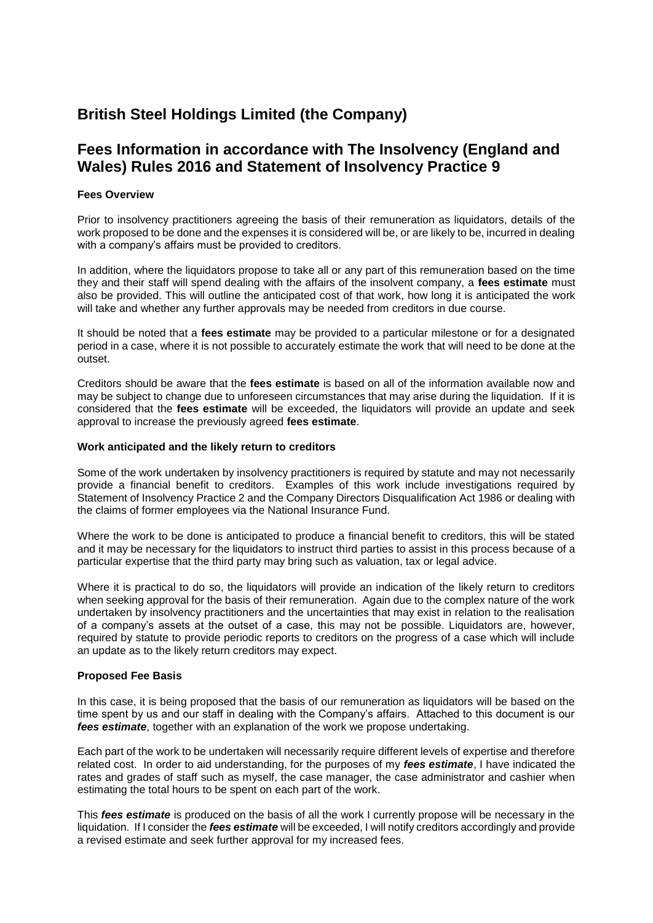# **British Steel Holdings Limited (the Company)**

# **Fees Information in accordance with The Insolvency (England and Wales) Rules 2016 and Statement of Insolvency Practice 9**

## **Fees Overview**

Prior to insolvency practitioners agreeing the basis of their remuneration as liquidators, details of the work proposed to be done and the expenses it is considered will be, or are likely to be, incurred in dealing with a company's affairs must be provided to creditors.

In addition, where the liquidators propose to take all or any part of this remuneration based on the time they and their staff will spend dealing with the affairs of the insolvent company, a **fees estimate** must also be provided. This will outline the anticipated cost of that work, how long it is anticipated the work will take and whether any further approvals may be needed from creditors in due course.

It should be noted that a **fees estimate** may be provided to a particular milestone or for a designated period in a case, where it is not possible to accurately estimate the work that will need to be done at the outset.

Creditors should be aware that the **fees estimate** is based on all of the information available now and may be subject to change due to unforeseen circumstances that may arise during the liquidation. If it is considered that the **fees estimate** will be exceeded, the liquidators will provide an update and seek approval to increase the previously agreed **fees estimate**.

### **Work anticipated and the likely return to creditors**

Some of the work undertaken by insolvency practitioners is required by statute and may not necessarily provide a financial benefit to creditors. Examples of this work include investigations required by Statement of Insolvency Practice 2 and the Company Directors Disqualification Act 1986 or dealing with the claims of former employees via the National Insurance Fund.

Where the work to be done is anticipated to produce a financial benefit to creditors, this will be stated and it may be necessary for the liquidators to instruct third parties to assist in this process because of a particular expertise that the third party may bring such as valuation, tax or legal advice.

Where it is practical to do so, the liquidators will provide an indication of the likely return to creditors when seeking approval for the basis of their remuneration. Again due to the complex nature of the work undertaken by insolvency practitioners and the uncertainties that may exist in relation to the realisation of a company's assets at the outset of a case, this may not be possible. Liquidators are, however, required by statute to provide periodic reports to creditors on the progress of a case which will include an update as to the likely return creditors may expect.

## **Proposed Fee Basis**

In this case, it is being proposed that the basis of our remuneration as liquidators will be based on the time spent by us and our staff in dealing with the Company's affairs. Attached to this document is our *fees estimate*, together with an explanation of the work we propose undertaking.

Each part of the work to be undertaken will necessarily require different levels of expertise and therefore related cost. In order to aid understanding, for the purposes of my *fees estimate*, I have indicated the rates and grades of staff such as myself, the case manager, the case administrator and cashier when estimating the total hours to be spent on each part of the work.

This *fees estimate* is produced on the basis of all the work I currently propose will be necessary in the liquidation. If I consider the *fees estimate* will be exceeded, I will notify creditors accordingly and provide a revised estimate and seek further approval for my increased fees.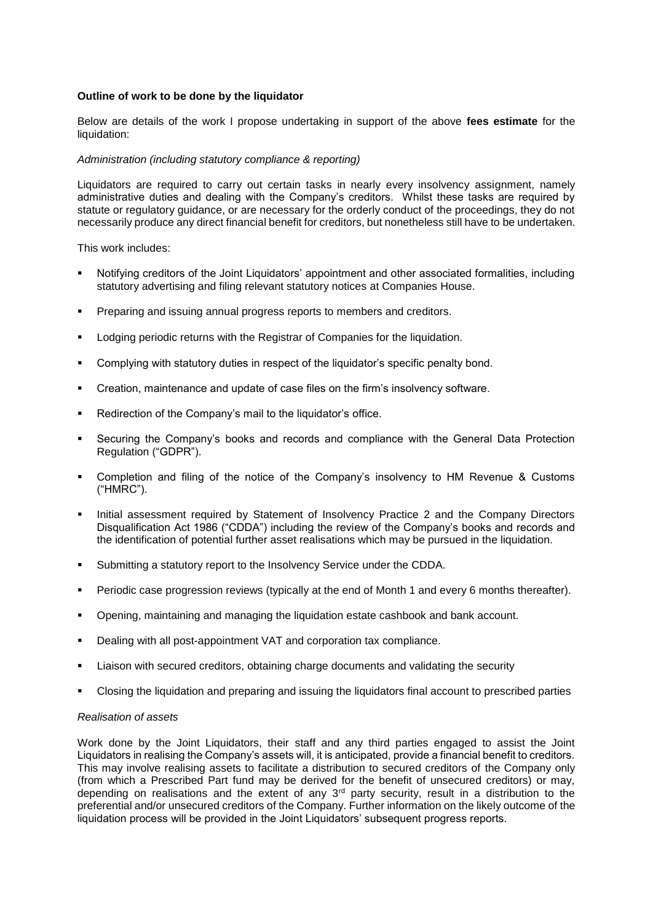### **Outline of work to be done by the liquidator**

Below are details of the work I propose undertaking in support of the above **fees estimate** for the liquidation:

#### *Administration (including statutory compliance & reporting)*

Liquidators are required to carry out certain tasks in nearly every insolvency assignment, namely administrative duties and dealing with the Company's creditors. Whilst these tasks are required by statute or regulatory guidance, or are necessary for the orderly conduct of the proceedings, they do not necessarily produce any direct financial benefit for creditors, but nonetheless still have to be undertaken.

This work includes:

- Notifying creditors of the Joint Liquidators' appointment and other associated formalities, including statutory advertising and filing relevant statutory notices at Companies House.
- Preparing and issuing annual progress reports to members and creditors.
- Lodging periodic returns with the Registrar of Companies for the liquidation.
- Complying with statutory duties in respect of the liquidator's specific penalty bond.
- Creation, maintenance and update of case files on the firm's insolvency software.
- Redirection of the Company's mail to the liquidator's office.
- Securing the Company's books and records and compliance with the General Data Protection Regulation ("GDPR").
- Completion and filing of the notice of the Company's insolvency to HM Revenue & Customs ("HMRC").
- Initial assessment required by Statement of Insolvency Practice 2 and the Company Directors Disqualification Act 1986 ("CDDA") including the review of the Company's books and records and the identification of potential further asset realisations which may be pursued in the liquidation.
- Submitting a statutory report to the Insolvency Service under the CDDA.
- Periodic case progression reviews (typically at the end of Month 1 and every 6 months thereafter).
- Opening, maintaining and managing the liquidation estate cashbook and bank account.
- Dealing with all post-appointment VAT and corporation tax compliance.
- Liaison with secured creditors, obtaining charge documents and validating the security
- Closing the liquidation and preparing and issuing the liquidators final account to prescribed parties

#### *Realisation of assets*

Work done by the Joint Liquidators, their staff and any third parties engaged to assist the Joint Liquidators in realising the Company's assets will, it is anticipated, provide a financial benefit to creditors. This may involve realising assets to facilitate a distribution to secured creditors of the Company only (from which a Prescribed Part fund may be derived for the benefit of unsecured creditors) or may, depending on realisations and the extent of any 3<sup>rd</sup> party security, result in a distribution to the preferential and/or unsecured creditors of the Company. Further information on the likely outcome of the liquidation process will be provided in the Joint Liquidators' subsequent progress reports.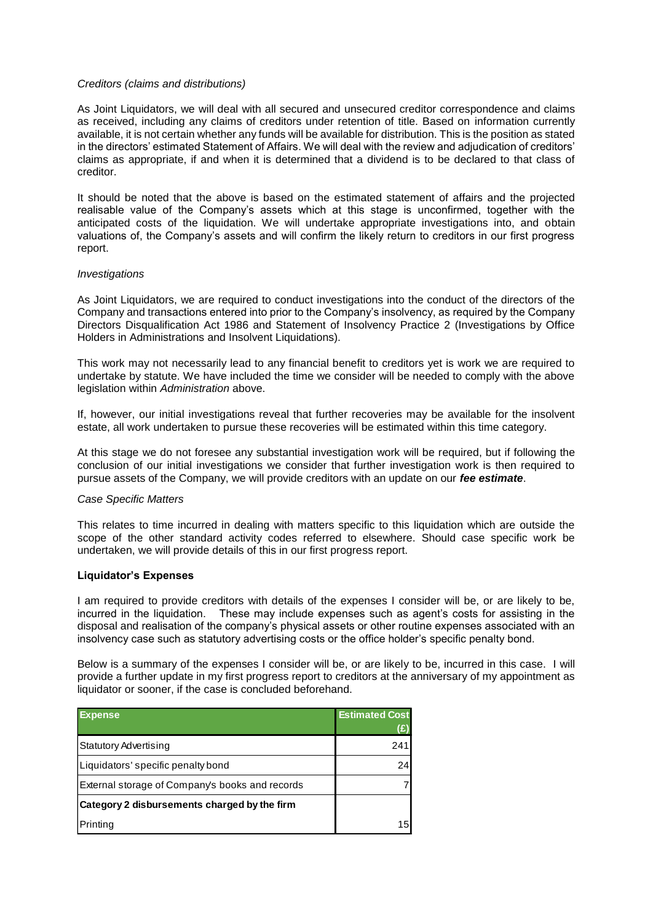#### *Creditors (claims and distributions)*

As Joint Liquidators, we will deal with all secured and unsecured creditor correspondence and claims as received, including any claims of creditors under retention of title. Based on information currently available, it is not certain whether any funds will be available for distribution. This is the position as stated in the directors' estimated Statement of Affairs. We will deal with the review and adjudication of creditors' claims as appropriate, if and when it is determined that a dividend is to be declared to that class of creditor.

It should be noted that the above is based on the estimated statement of affairs and the projected realisable value of the Company's assets which at this stage is unconfirmed, together with the anticipated costs of the liquidation. We will undertake appropriate investigations into, and obtain valuations of, the Company's assets and will confirm the likely return to creditors in our first progress report.

#### *Investigations*

As Joint Liquidators, we are required to conduct investigations into the conduct of the directors of the Company and transactions entered into prior to the Company's insolvency, as required by the Company Directors Disqualification Act 1986 and Statement of Insolvency Practice 2 (Investigations by Office Holders in Administrations and Insolvent Liquidations).

This work may not necessarily lead to any financial benefit to creditors yet is work we are required to undertake by statute. We have included the time we consider will be needed to comply with the above legislation within *Administration* above.

If, however, our initial investigations reveal that further recoveries may be available for the insolvent estate, all work undertaken to pursue these recoveries will be estimated within this time category.

At this stage we do not foresee any substantial investigation work will be required, but if following the conclusion of our initial investigations we consider that further investigation work is then required to pursue assets of the Company, we will provide creditors with an update on our *fee estimate*.

#### *Case Specific Matters*

This relates to time incurred in dealing with matters specific to this liquidation which are outside the scope of the other standard activity codes referred to elsewhere. Should case specific work be undertaken, we will provide details of this in our first progress report.

#### **Liquidator's Expenses**

I am required to provide creditors with details of the expenses I consider will be, or are likely to be, incurred in the liquidation. These may include expenses such as agent's costs for assisting in the disposal and realisation of the company's physical assets or other routine expenses associated with an insolvency case such as statutory advertising costs or the office holder's specific penalty bond.

Below is a summary of the expenses I consider will be, or are likely to be, incurred in this case. I will provide a further update in my first progress report to creditors at the anniversary of my appointment as liquidator or sooner, if the case is concluded beforehand.

| <b>Expense</b>                                  | <b>Estimated Cost</b> |
|-------------------------------------------------|-----------------------|
| <b>Statutory Advertising</b>                    | 241                   |
| Liquidators' specific penalty bond              | 24                    |
| External storage of Company's books and records |                       |
| Category 2 disbursements charged by the firm    |                       |
| Printing                                        | 15                    |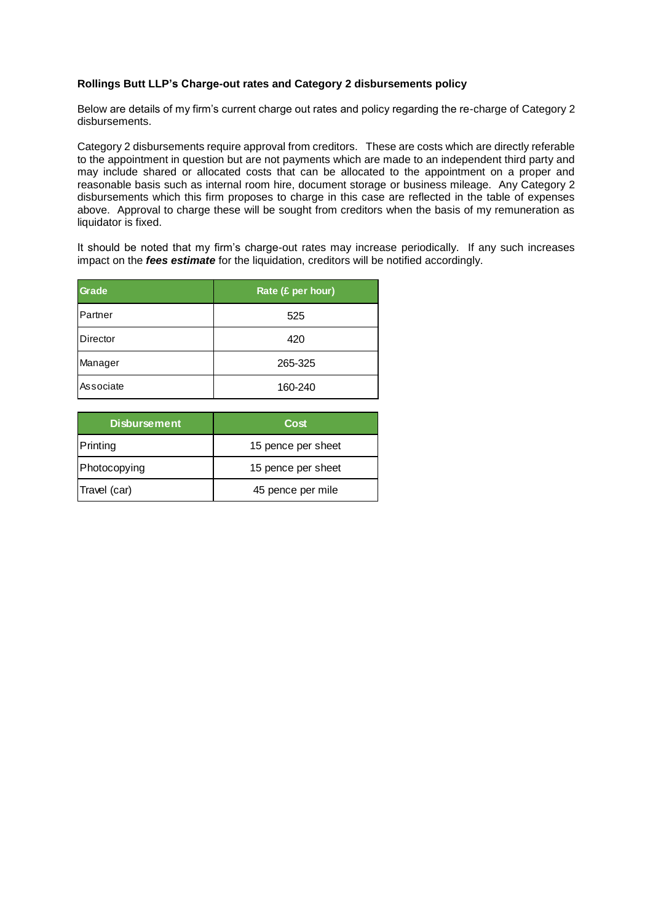# **Rollings Butt LLP's Charge-out rates and Category 2 disbursements policy**

Below are details of my firm's current charge out rates and policy regarding the re-charge of Category 2 disbursements.

Category 2 disbursements require approval from creditors. These are costs which are directly referable to the appointment in question but are not payments which are made to an independent third party and may include shared or allocated costs that can be allocated to the appointment on a proper and reasonable basis such as internal room hire, document storage or business mileage. Any Category 2 disbursements which this firm proposes to charge in this case are reflected in the table of expenses above. Approval to charge these will be sought from creditors when the basis of my remuneration as liquidator is fixed.

It should be noted that my firm's charge-out rates may increase periodically. If any such increases impact on the *fees estimate* for the liquidation, creditors will be notified accordingly.

| Grade     | Rate (£ per hour) |
|-----------|-------------------|
| Partner   | 525               |
| Director  | 420               |
| Manager   | 265-325           |
| Associate | 160-240           |

| <b>Disbursement</b> | Cost               |  |
|---------------------|--------------------|--|
| Printing            | 15 pence per sheet |  |
| Photocopying        | 15 pence per sheet |  |
| Travel (car)        | 45 pence per mile  |  |